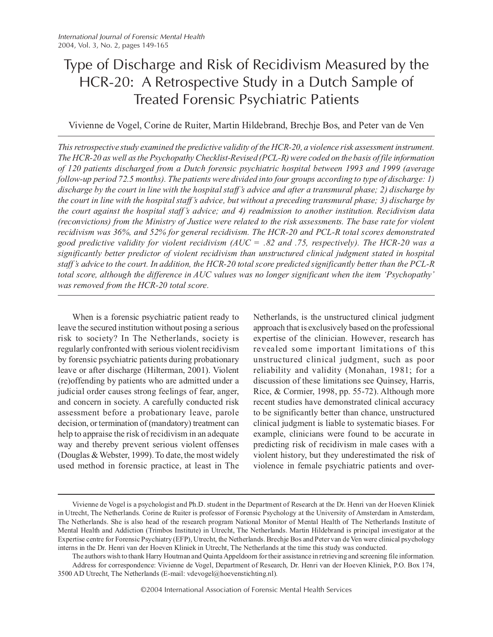# Type of Discharge and Risk of Recidivism Measured by the HCR-20: A Retrospective Study in a Dutch Sample of Treated Forensic Psychiatric Patients

# Vivienne de Vogel, Corine de Ruiter, Martin Hildebrand, Brechje Bos, and Peter van de Ven

*This retrospective study examined the predictive validity of the HCR-20, a violence risk assessment instrument. The HCR-20 as well as the Psychopathy Checklist-Revised (PCL-R) were coded on the basis of file information of 120 patients discharged from a Dutch forensic psychiatric hospital between 1993 and 1999 (average follow-up period 72.5 months). The patients were divided into four groups according to type of discharge: 1) discharge by the court in line with the hospital staff's advice and after a transmural phase; 2) discharge by the court in line with the hospital staff's advice, but without a preceding transmural phase; 3) discharge by the court against the hospital staff's advice; and 4) readmission to another institution. Recidivism data (reconvictions) from the Ministry of Justice were related to the risk assessments. The base rate for violent recidivism was 36%, and 52% for general recidivism. The HCR-20 and PCL-R total scores demonstrated good predictive validity for violent recidivism (AUC = .82 and .75, respectively). The HCR-20 was a significantly better predictor of violent recidivism than unstructured clinical judgment stated in hospital staff's advice to the court. In addition, the HCR-20 total score predicted significantly better than the PCL-R total score, although the difference in AUC values was no longer significant when the item 'Psychopathy' was removed from the HCR-20 total score.*

When is a forensic psychiatric patient ready to leave the secured institution without posing a serious risk to society? In The Netherlands, society is regularly confronted with serious violent recidivism by forensic psychiatric patients during probationary leave or after discharge (Hilterman, 2001). Violent (re)offending by patients who are admitted under a judicial order causes strong feelings of fear, anger, and concern in society. A carefully conducted risk assessment before a probationary leave, parole decision, or termination of (mandatory) treatment can help to appraise the risk of recidivism in an adequate way and thereby prevent serious violent offenses (Douglas & Webster, 1999). To date, the most widely used method in forensic practice, at least in The

Netherlands, is the unstructured clinical judgment approach that is exclusively based on the professional expertise of the clinician. However, research has revealed some important limitations of this unstructured clinical judgment, such as poor reliability and validity (Monahan, 1981; for a discussion of these limitations see Quinsey, Harris, Rice, & Cormier, 1998, pp. 55-72). Although more recent studies have demonstrated clinical accuracy to be significantly better than chance, unstructured clinical judgment is liable to systematic biases. For example, clinicians were found to be accurate in predicting risk of recidivism in male cases with a violent history, but they underestimated the risk of violence in female psychiatric patients and over-

Vivienne de Vogel is a psychologist and Ph.D. student in the Department of Research at the Dr. Henri van der Hoeven Kliniek in Utrecht, The Netherlands. Corine de Ruiter is professor of Forensic Psychology at the University of Amsterdam in Amsterdam, The Netherlands. She is also head of the research program National Monitor of Mental Health of The Netherlands Institute of Mental Health and Addiction (Trimbos Institute) in Utrecht, The Netherlands. Martin Hildebrand is principal investigator at the Expertise centre for Forensic Psychiatry (EFP), Utrecht, the Netherlands. Brechje Bos and Peter van de Ven were clinical psychology interns in the Dr. Henri van der Hoeven Kliniek in Utrecht, The Netherlands at the time this study was conducted.

The authors wish to thank Harry Houtman and Quinta Appeldoorn for their assistance in retrieving and screening file information. Address for correspondence: Vivienne de Vogel, Department of Research, Dr. Henri van der Hoeven Kliniek, P.O. Box 174, 3500 AD Utrecht, The Netherlands (E-mail: vdevogel@hoevenstichting.nl).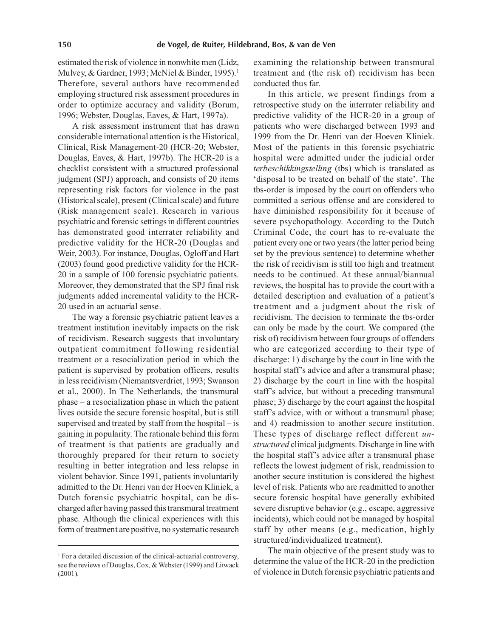estimated the risk of violence in nonwhite men (Lidz, Mulvey, & Gardner, 1993; McNiel & Binder, 1995).<sup>1</sup> Therefore, several authors have recommended employing structured risk assessment procedures in order to optimize accuracy and validity (Borum, 1996; Webster, Douglas, Eaves, & Hart, 1997a).

A risk assessment instrument that has drawn considerable international attention is the Historical, Clinical, Risk Management-20 (HCR-20; Webster, Douglas, Eaves, & Hart, 1997b). The HCR-20 is a checklist consistent with a structured professional judgment (SPJ) approach, and consists of 20 items representing risk factors for violence in the past (Historical scale), present (Clinical scale) and future (Risk management scale). Research in various psychiatric and forensic settings in different countries has demonstrated good interrater reliability and predictive validity for the HCR-20 (Douglas and Weir, 2003). For instance, Douglas, Ogloff and Hart (2003) found good predictive validity for the HCR-20 in a sample of 100 forensic psychiatric patients. Moreover, they demonstrated that the SPJ final risk judgments added incremental validity to the HCR-20 used in an actuarial sense.

The way a forensic psychiatric patient leaves a treatment institution inevitably impacts on the risk of recidivism. Research suggests that involuntary outpatient commitment following residential treatment or a resocialization period in which the patient is supervised by probation officers, results in less recidivism (Niemantsverdriet, 1993; Swanson et al., 2000). In The Netherlands, the transmural phase – a resocialization phase in which the patient lives outside the secure forensic hospital, but is still supervised and treated by staff from the hospital – is gaining in popularity. The rationale behind this form of treatment is that patients are gradually and thoroughly prepared for their return to society resulting in better integration and less relapse in violent behavior. Since 1991, patients involuntarily admitted to the Dr. Henri van der Hoeven Kliniek, a Dutch forensic psychiatric hospital, can be discharged after having passed this transmural treatment phase. Although the clinical experiences with this form of treatment are positive, no systematic research examining the relationship between transmural treatment and (the risk of) recidivism has been conducted thus far.

In this article, we present findings from a retrospective study on the interrater reliability and predictive validity of the HCR-20 in a group of patients who were discharged between 1993 and 1999 from the Dr. Henri van der Hoeven Kliniek. Most of the patients in this forensic psychiatric hospital were admitted under the judicial order *terbeschikkingstelling* (tbs) which is translated as 'disposal to be treated on behalf of the state'. The tbs-order is imposed by the court on offenders who committed a serious offense and are considered to have diminished responsibility for it because of severe psychopathology. According to the Dutch Criminal Code, the court has to re-evaluate the patient every one or two years (the latter period being set by the previous sentence) to determine whether the risk of recidivism is still too high and treatment needs to be continued. At these annual/biannual reviews, the hospital has to provide the court with a detailed description and evaluation of a patient's treatment and a judgment about the risk of recidivism. The decision to terminate the tbs-order can only be made by the court. We compared (the risk of) recidivism between four groups of offenders who are categorized according to their type of discharge: 1) discharge by the court in line with the hospital staff's advice and after a transmural phase; 2) discharge by the court in line with the hospital staff's advice, but without a preceding transmural phase; 3) discharge by the court against the hospital staff's advice, with or without a transmural phase; and 4) readmission to another secure institution. These types of discharge reflect different *unstructured* clinical judgments. Discharge in line with the hospital staff's advice after a transmural phase reflects the lowest judgment of risk, readmission to another secure institution is considered the highest level of risk. Patients who are readmitted to another secure forensic hospital have generally exhibited severe disruptive behavior (e.g., escape, aggressive incidents), which could not be managed by hospital staff by other means (e.g., medication, highly structured/individualized treatment).

The main objective of the present study was to determine the value of the HCR-20 in the prediction of violence in Dutch forensic psychiatric patients and

<sup>&</sup>lt;sup>1</sup> For a detailed discussion of the clinical-actuarial controversy, see the reviews of Douglas, Cox, & Webster (1999) and Litwack (2001).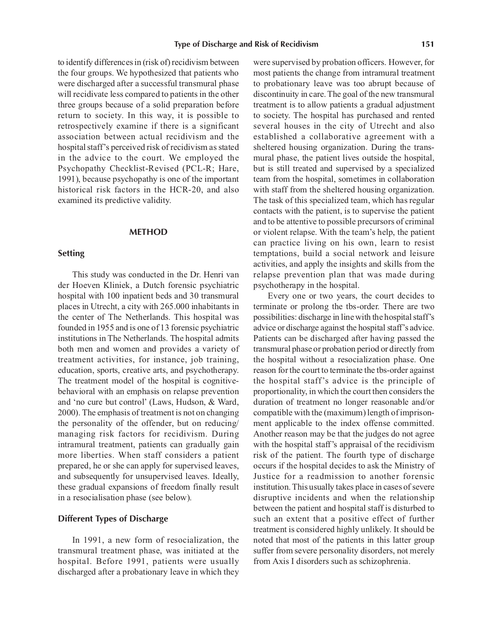to identify differences in (risk of) recidivism between the four groups. We hypothesized that patients who were discharged after a successful transmural phase will recidivate less compared to patients in the other three groups because of a solid preparation before return to society. In this way, it is possible to retrospectively examine if there is a significant association between actual recidivism and the hospital staff's perceived risk of recidivism as stated in the advice to the court. We employed the Psychopathy Checklist-Revised (PCL-R; Hare, 1991), because psychopathy is one of the important historical risk factors in the HCR-20, and also examined its predictive validity.

#### **METHOD**

### **Setting**

This study was conducted in the Dr. Henri van der Hoeven Kliniek, a Dutch forensic psychiatric hospital with 100 inpatient beds and 30 transmural places in Utrecht, a city with 265.000 inhabitants in the center of The Netherlands. This hospital was founded in 1955 and is one of 13 forensic psychiatric institutions in The Netherlands. The hospital admits both men and women and provides a variety of treatment activities, for instance, job training, education, sports, creative arts, and psychotherapy. The treatment model of the hospital is cognitivebehavioral with an emphasis on relapse prevention and 'no cure but control' (Laws, Hudson, & Ward, 2000). The emphasis of treatment is not on changing the personality of the offender, but on reducing/ managing risk factors for recidivism. During intramural treatment, patients can gradually gain more liberties. When staff considers a patient prepared, he or she can apply for supervised leaves, and subsequently for unsupervised leaves. Ideally, these gradual expansions of freedom finally result in a resocialisation phase (see below).

#### **Different Types of Discharge**

In 1991, a new form of resocialization, the transmural treatment phase, was initiated at the hospital. Before 1991, patients were usually discharged after a probationary leave in which they were supervised by probation officers. However, for most patients the change from intramural treatment to probationary leave was too abrupt because of discontinuity in care. The goal of the new transmural treatment is to allow patients a gradual adjustment to society. The hospital has purchased and rented several houses in the city of Utrecht and also established a collaborative agreement with a sheltered housing organization. During the transmural phase, the patient lives outside the hospital, but is still treated and supervised by a specialized team from the hospital, sometimes in collaboration with staff from the sheltered housing organization. The task of this specialized team, which has regular contacts with the patient, is to supervise the patient and to be attentive to possible precursors of criminal or violent relapse. With the team's help, the patient can practice living on his own, learn to resist temptations, build a social network and leisure activities, and apply the insights and skills from the relapse prevention plan that was made during psychotherapy in the hospital.

Every one or two years, the court decides to terminate or prolong the tbs-order. There are two possibilities: discharge in line with the hospital staff's advice or discharge against the hospital staff's advice. Patients can be discharged after having passed the transmural phase or probation period or directly from the hospital without a resocialization phase. One reason for the court to terminate the tbs-order against the hospital staff's advice is the principle of proportionality, in which the court then considers the duration of treatment no longer reasonable and/or compatible with the (maximum) length of imprisonment applicable to the index offense committed. Another reason may be that the judges do not agree with the hospital staff's appraisal of the recidivism risk of the patient. The fourth type of discharge occurs if the hospital decides to ask the Ministry of Justice for a readmission to another forensic institution. This usually takes place in cases of severe disruptive incidents and when the relationship between the patient and hospital staff is disturbed to such an extent that a positive effect of further treatment is considered highly unlikely. It should be noted that most of the patients in this latter group suffer from severe personality disorders, not merely from Axis I disorders such as schizophrenia.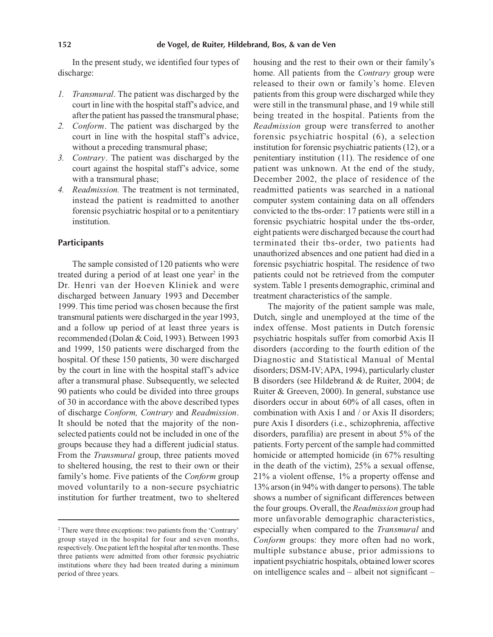In the present study, we identified four types of discharge:

- *1. Transmural*. The patient was discharged by the court in line with the hospital staff's advice, and after the patient has passed the transmural phase;
- *2. Conform*. The patient was discharged by the court in line with the hospital staff's advice, without a preceding transmural phase;
- *3. Contrary*. The patient was discharged by the court against the hospital staff's advice, some with a transmural phase;
- *4. Readmission.* The treatment is not terminated, instead the patient is readmitted to another forensic psychiatric hospital or to a penitentiary institution.

## **Participants**

The sample consisted of 120 patients who were treated during a period of at least one year<sup>2</sup> in the Dr. Henri van der Hoeven Kliniek and were discharged between January 1993 and December 1999. This time period was chosen because the first transmural patients were discharged in the year 1993, and a follow up period of at least three years is recommended (Dolan & Coid, 1993). Between 1993 and 1999, 150 patients were discharged from the hospital. Of these 150 patients, 30 were discharged by the court in line with the hospital staff's advice after a transmural phase. Subsequently, we selected 90 patients who could be divided into three groups of 30 in accordance with the above described types of discharge *Conform, Contrary* and *Readmission*. It should be noted that the majority of the nonselected patients could not be included in one of the groups because they had a different judicial status. From the *Transmural* group, three patients moved to sheltered housing, the rest to their own or their family's home. Five patients of the *Conform* group moved voluntarily to a non-secure psychiatric institution for further treatment, two to sheltered housing and the rest to their own or their family's home. All patients from the *Contrary* group were released to their own or family's home. Eleven patients from this group were discharged while they were still in the transmural phase, and 19 while still being treated in the hospital. Patients from the *Readmission* group were transferred to another forensic psychiatric hospital (6), a selection institution for forensic psychiatric patients (12), or a penitentiary institution (11). The residence of one patient was unknown. At the end of the study, December 2002, the place of residence of the readmitted patients was searched in a national computer system containing data on all offenders convicted to the tbs-order: 17 patients were still in a forensic psychiatric hospital under the tbs-order, eight patients were discharged because the court had terminated their tbs-order, two patients had unauthorized absences and one patient had died in a forensic psychiatric hospital. The residence of two patients could not be retrieved from the computer system. Table 1 presents demographic, criminal and treatment characteristics of the sample.

The majority of the patient sample was male, Dutch, single and unemployed at the time of the index offense. Most patients in Dutch forensic psychiatric hospitals suffer from comorbid Axis II disorders (according to the fourth edition of the Diagnostic and Statistical Manual of Mental disorders; DSM-IV; APA, 1994), particularly cluster B disorders (see Hildebrand & de Ruiter, 2004; de Ruiter & Greeven, 2000). In general, substance use disorders occur in about 60% of all cases, often in combination with Axis I and / or Axis II disorders; pure Axis I disorders (i.e., schizophrenia, affective disorders, parafilia) are present in about 5% of the patients. Forty percent of the sample had committed homicide or attempted homicide (in 67% resulting in the death of the victim), 25% a sexual offense, 21% a violent offense, 1% a property offense and 13% arson (in 94% with danger to persons). The table shows a number of significant differences between the four groups. Overall, the *Readmission* group had more unfavorable demographic characteristics, especially when compared to the *Transmural* and *Conform* groups: they more often had no work, multiple substance abuse, prior admissions to inpatient psychiatric hospitals, obtained lower scores on intelligence scales and – albeit not significant –

<sup>2</sup> There were three exceptions: two patients from the 'Contrary' group stayed in the hospital for four and seven months, respectively. One patient left the hospital after ten months. These three patients were admitted from other forensic psychiatric institutions where they had been treated during a minimum period of three years.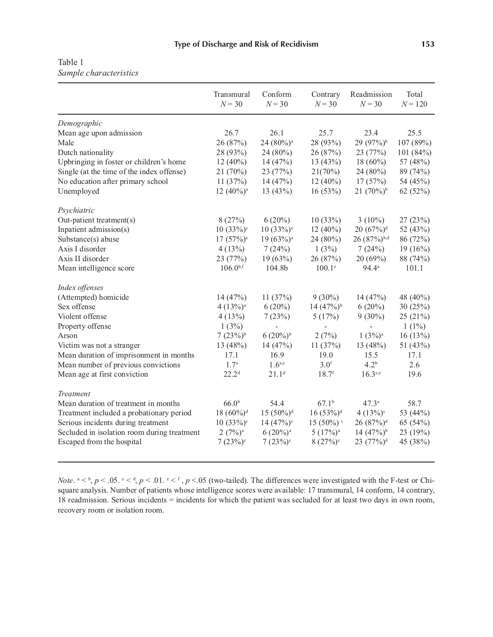| Table 1 |                        |
|---------|------------------------|
|         | Sample characteristics |

|                                             | Transmural<br>$N = 30$   | Conform<br>$N = 30$   | Contrary<br>$N = 30$    | Readmission<br>$N = 30$ | Total<br>$N = 120$ |
|---------------------------------------------|--------------------------|-----------------------|-------------------------|-------------------------|--------------------|
|                                             |                          |                       |                         |                         |                    |
| Demographic                                 |                          |                       |                         |                         |                    |
| Mean age upon admission                     | 26.7                     | 26.1                  | 25.7                    | 23.4                    | 25.5               |
| Male                                        | 26(87%)                  | 24 (80%) <sup>a</sup> | 28 (93%)                | $29(97%)^b$             | 107 (89%)          |
| Dutch nationality                           | 28 (93%)                 | 24 (80%)              | 26 (87%)                | 23 (77%)                | 101(84%)           |
| Upbringing in foster or children's home     | $12(40\%)$               | 14(47%)               | 13 $(43%)$              | 18 $(60\%)$             | 57 (48%)           |
| Single (at the time of the index offense)   | 21(70%)                  | 23(77%)               | 21(70%)                 | $24(80\%)$              | 89 (74%)           |
| No education after primary school           | 11 $(37%)$               | 14 $(47%)$            | $12(40\%)$              | 17(57%)                 | 54 (45%)           |
| Unemployed                                  | $12 (40\%)^a$            | 13(43%)               | 16(53%)                 | $21 (70\%)^b$           | 62(52%)            |
| Psychiatric                                 |                          |                       |                         |                         |                    |
| Out-patient treatment(s)                    | 8(27%)                   | $6(20\%)$             | 10(33%)                 | $3(10\%)$               | 27(23%)            |
| Inpatient admission(s)                      | $10(33\%)^c$             | $10(33\%)^c$          | $12(40\%)$              | $20(67%)$ <sup>d</sup>  | 52 (43%)           |
| Substance(s) abuse                          | $17(57%)^c$              | $19(63\%)^a$          | 24 (80%)                | $26(87%)^{b,d}$         | 86 (72%)           |
| Axis I disorder                             | 4(13%)                   | 7(24%)                | 1(3%)                   | 7(24%)                  | $19(16\%)$         |
| Axis II disorder                            | 23 (77%)                 | 19(63%)               | 26(87%)                 | 20(69%)                 | 88 (74%)           |
| Mean intelligence score                     | $106.0^{b,f}$            | 104.8b                | $100.1^e$               | $94.4^{\circ}$          | 101.1              |
| Index offenses                              |                          |                       |                         |                         |                    |
| (Attempted) homicide                        | 14(47%)                  | 11 $(37%)$            | $9(30\%)$               | 14(47%)                 | 48 (40%)           |
| Sex offense                                 | $4(13\%)^a$              | $6(20\%)$             | 14 $(47%)$ <sup>b</sup> | $6(20\%)$               | 30(25%)            |
| Violent offense                             | 4(13%)                   | 7(23%)                | 5(17%)                  | $9(30\%)$               | 25(21%)            |
| Property offense                            | 1(3%)                    |                       |                         | ÷,                      | $1(1\%)$           |
| Arson                                       | $7(23%)^b$               | $6(20\%)^b$           | 2(7%)                   | $1(3\%)^a$              | 16(13%)            |
| Victim was not a stranger                   | 13 (48%)                 | 14(47%)               | 11 $(37%)$              | 13 $(48%)$              | 51 $(43%)$         |
| Mean duration of imprisonment in months     | 17.1                     | 16.9                  | 19.0                    | 15.5                    | 17.1               |
| Mean number of previous convictions         | 1.7 <sup>a</sup>         | $1.6^{a,e}$           | 3.0 <sup>f</sup>        | 4.2 <sup>b</sup>        | 2.6                |
| Mean age at first conviction                | 22.2 <sup>d</sup>        | 21.1 <sup>d</sup>     | 18.7 <sup>f</sup>       | $16.3^{\rm c,e}$        | 19.6               |
| Treatment                                   |                          |                       |                         |                         |                    |
| Mean duration of treatment in months        | 66.0 <sup>b</sup>        | 54.4                  | $67.1^{b}$              | 47.3 <sup>a</sup>       | 58.7               |
| Treatment included a probationary period    | $18 (60\%)$ <sup>d</sup> | $15(50\%)^d$          | $16(53\%)^d$            | $4(13\%)^c$             | 53 (44%)           |
| Serious incidents during treatment          | $10(33\%)^c$             | $14(47\%)^c$          | $15(50\%)$              | $26(87%)$ <sup>d</sup>  | 65 $(54%)$         |
| Secluded in isolation room during treatment | $2 (7%)^a$               | $6(20\%)^a$           | $5(17\%)^a$             | 14 $(47%)^b$            | 23(19%)            |
| Escaped from the hospital                   | $7(23%)^c$               | $7(23%)^c$            | $8(27%)^c$              | 23 $(77%)$ <sup>d</sup> | 45 (38%)           |
|                                             |                          |                       |                         |                         |                    |

*Note*.  $a < b$ ,  $p < .05$ .  $c < d$ ,  $p < .01$ .  $e < f$ ,  $p < .05$  (two-tailed). The differences were investigated with the F-test or Chisquare analysis. Number of patients whose intelligence scores were available: 17 transmural, 14 conform, 14 contrary, 18 readmission. Serious incidents = incidents for which the patient was secluded for at least two days in own room, recovery room or isolation room.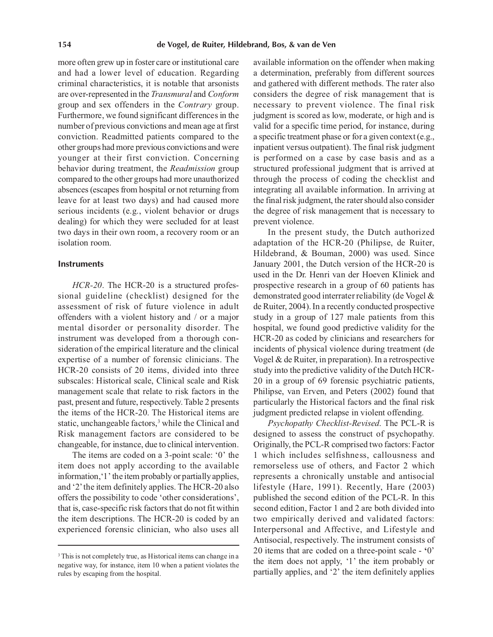more often grew up in foster care or institutional care and had a lower level of education. Regarding criminal characteristics, it is notable that arsonists are over-represented in the *Transmural* and *Conform* group and sex offenders in the *Contrary* group. Furthermore, we found significant differences in the number of previous convictions and mean age at first conviction. Readmitted patients compared to the other groups had more previous convictions and were younger at their first conviction. Concerning behavior during treatment, the *Readmission* group compared to the other groups had more unauthorized absences (escapes from hospital or not returning from leave for at least two days) and had caused more serious incidents (e.g., violent behavior or drugs dealing) for which they were secluded for at least two days in their own room, a recovery room or an isolation room.

#### **Instruments**

*HCR-20*. The HCR-20 is a structured professional guideline (checklist) designed for the assessment of risk of future violence in adult offenders with a violent history and / or a major mental disorder or personality disorder. The instrument was developed from a thorough consideration of the empirical literature and the clinical expertise of a number of forensic clinicians. The HCR-20 consists of 20 items, divided into three subscales: Historical scale, Clinical scale and Risk management scale that relate to risk factors in the past, present and future, respectively. Table 2 presents the items of the HCR-20. The Historical items are static, unchangeable factors,<sup>3</sup> while the Clinical and Risk management factors are considered to be changeable, for instance, due to clinical intervention.

The items are coded on a 3-point scale: '0' the item does not apply according to the available information,'1' the item probably or partially applies, and '2' the item definitely applies. The HCR-20 also offers the possibility to code 'other considerations', that is, case-specific risk factors that do not fit within the item descriptions. The HCR-20 is coded by an experienced forensic clinician, who also uses all available information on the offender when making a determination, preferably from different sources and gathered with different methods. The rater also considers the degree of risk management that is necessary to prevent violence. The final risk judgment is scored as low, moderate, or high and is valid for a specific time period, for instance, during a specific treatment phase or for a given context (e.g., inpatient versus outpatient). The final risk judgment is performed on a case by case basis and as a structured professional judgment that is arrived at through the process of coding the checklist and integrating all available information. In arriving at the final risk judgment, the rater should also consider the degree of risk management that is necessary to prevent violence.

In the present study, the Dutch authorized adaptation of the HCR-20 (Philipse, de Ruiter, Hildebrand, & Bouman, 2000) was used. Since January 2001, the Dutch version of the HCR-20 is used in the Dr. Henri van der Hoeven Kliniek and prospective research in a group of 60 patients has demonstrated good interrater reliability (de Vogel & de Ruiter, 2004). In a recently conducted prospective study in a group of 127 male patients from this hospital, we found good predictive validity for the HCR-20 as coded by clinicians and researchers for incidents of physical violence during treatment (de Vogel & de Ruiter, in preparation). In a retrospective study into the predictive validity of the Dutch HCR-20 in a group of 69 forensic psychiatric patients, Philipse, van Erven, and Peters (2002) found that particularly the Historical factors and the final risk judgment predicted relapse in violent offending.

*Psychopathy Checklist-Revised*. The PCL-R is designed to assess the construct of psychopathy. Originally, the PCL-R comprised two factors: Factor 1 which includes selfishness, callousness and remorseless use of others, and Factor 2 which represents a chronically unstable and antisocial lifestyle (Hare, 1991). Recently, Hare (2003) published the second edition of the PCL-R. In this second edition, Factor 1 and 2 are both divided into two empirically derived and validated factors: Interpersonal and Affective, and Lifestyle and Antisocial, respectively. The instrument consists of 20 items that are coded on a three-point scale - **'**0' the item does not apply, '1' the item probably or partially applies, and '2' the item definitely applies

<sup>&</sup>lt;sup>3</sup> This is not completely true, as Historical items can change in a negative way, for instance, item 10 when a patient violates the rules by escaping from the hospital.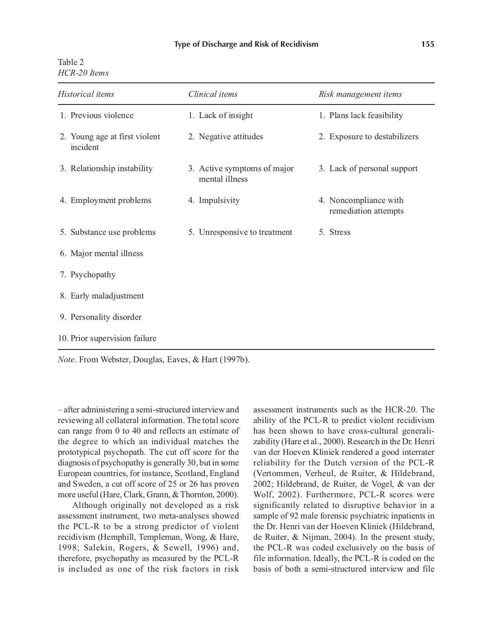| Table 2      |
|--------------|
| HCR-20 Items |

| Historical items                          | Clinical items                                | Risk management items                         |  |
|-------------------------------------------|-----------------------------------------------|-----------------------------------------------|--|
| 1. Previous violence                      | 1. Lack of insight                            | 1. Plans lack feasibility                     |  |
| 2. Young age at first violent<br>incident | 2. Negative attitudes                         | 2. Exposure to destabilizers                  |  |
| 3. Relationship instability               | 3. Active symptoms of major<br>mental illness | 3. Lack of personal support                   |  |
| 4. Employment problems                    | 4. Impulsivity                                | 4. Noncompliance with<br>remediation attempts |  |
| 5. Substance use problems                 | 5. Unresponsive to treatment                  | 5. Stress                                     |  |
| 6. Major mental illness                   |                                               |                                               |  |
| 7. Psychopathy                            |                                               |                                               |  |
| 8. Early maladjustment                    |                                               |                                               |  |
| 9. Personality disorder                   |                                               |                                               |  |
| 10. Prior supervision failure             |                                               |                                               |  |

*Note*. From Webster, Douglas, Eaves, & Hart (1997b).

– after administering a semi-structured interview and reviewing all collateral information. The total score can range from 0 to 40 and reflects an estimate of the degree to which an individual matches the prototypical psychopath. The cut off score for the diagnosis of psychopathy is generally 30, but in some European countries, for instance, Scotland, England and Sweden, a cut off score of 25 or 26 has proven more useful (Hare, Clark, Grann, & Thornton, 2000).

Although originally not developed as a risk assessment instrument, two meta-analyses showed the PCL-R to be a strong predictor of violent recidivism (Hemphill, Templeman, Wong, & Hare, 1998; Salekin, Rogers, & Sewell, 1996) and, therefore, psychopathy as measured by the PCL-R is included as one of the risk factors in risk assessment instruments such as the HCR-20. The ability of the PCL-R to predict violent recidivism has been shown to have cross-cultural generalizability (Hare et al., 2000). Research in the Dr. Henri van der Hoeven Kliniek rendered a good interrater reliability for the Dutch version of the PCL-R (Vertommen, Verheul, de Ruiter, & Hildebrand, 2002; Hildebrand, de Ruiter, de Vogel, & van der Wolf, 2002). Furthermore, PCL-R scores were significantly related to disruptive behavior in a sample of 92 male forensic psychiatric inpatients in the Dr. Henri van der Hoeven Kliniek (Hildebrand, de Ruiter, & Nijman, 2004). In the present study, the PCL-R was coded exclusively on the basis of file information. Ideally, the PCL-R is coded on the basis of both a semi-structured interview and file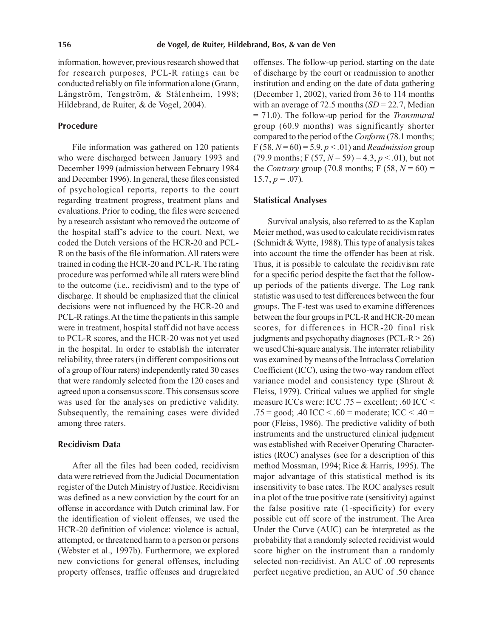information, however, previous research showed that for research purposes, PCL-R ratings can be conducted reliably on file information alone (Grann, Långström, Tengström, & Stålenheim, 1998; Hildebrand, de Ruiter, & de Vogel, 2004).

#### **Procedure**

File information was gathered on 120 patients who were discharged between January 1993 and December 1999 (admission between February 1984 and December 1996). In general, these files consisted of psychological reports, reports to the court regarding treatment progress, treatment plans and evaluations. Prior to coding, the files were screened by a research assistant who removed the outcome of the hospital staff's advice to the court. Next, we coded the Dutch versions of the HCR-20 and PCL-R on the basis of the file information. All raters were trained in coding the HCR-20 and PCL-R. The rating procedure was performed while all raters were blind to the outcome (i.e., recidivism) and to the type of discharge. It should be emphasized that the clinical decisions were not influenced by the HCR-20 and PCL-R ratings. At the time the patients in this sample were in treatment, hospital staff did not have access to PCL-R scores, and the HCR-20 was not yet used in the hospital. In order to establish the interrater reliability, three raters (in different compositions out of a group of four raters) independently rated 30 cases that were randomly selected from the 120 cases and agreed upon a consensus score. This consensus score was used for the analyses on predictive validity. Subsequently, the remaining cases were divided among three raters.

## **Recidivism Data**

After all the files had been coded, recidivism data were retrieved from the Judicial Documentation register of the Dutch Ministry of Justice. Recidivism was defined as a new conviction by the court for an offense in accordance with Dutch criminal law. For the identification of violent offenses, we used the HCR-20 definition of violence: violence is actual, attempted, or threatened harm to a person or persons (Webster et al., 1997b). Furthermore, we explored new convictions for general offenses, including property offenses, traffic offenses and drugrelated offenses. The follow-up period, starting on the date of discharge by the court or readmission to another institution and ending on the date of data gathering (December 1, 2002), varied from 36 to 114 months with an average of 72.5 months (*SD* = 22.7, Median = 71.0). The follow-up period for the *Transmural* group (60.9 months) was significantly shorter compared to the period of the *Conform* (78.1 months;  $F(58, N=60) = 5.9, p < .01$  and *Readmission* group (79.9 months; F (57, *N* = 59) = 4.3, *p* < .01), but not the *Contrary* group (70.8 months; F (58,  $N = 60$ ) = 15.7,  $p = .07$ ).

#### **Statistical Analyses**

Survival analysis, also referred to as the Kaplan Meier method, was used to calculate recidivism rates (Schmidt & Wytte, 1988). This type of analysis takes into account the time the offender has been at risk. Thus, it is possible to calculate the recidivism rate for a specific period despite the fact that the followup periods of the patients diverge. The Log rank statistic was used to test differences between the four groups. The F-test was used to examine differences between the four groups in PCL-R and HCR-20 mean scores, for differences in HCR-20 final risk judgments and psychopathy diagnoses (PCL-R $\geq$ 26) we used Chi-square analysis. The interrater reliability was examined by means of the Intraclass Correlation Coefficient (ICC), using the two-way random effect variance model and consistency type (Shrout & Fleiss, 1979). Critical values we applied for single measure ICCs were: ICC .75 = excellent; .60 ICC < .75 = good; .40 ICC < .60 = moderate; ICC < .40 = poor (Fleiss, 1986). The predictive validity of both instruments and the unstructured clinical judgment was established with Receiver Operating Characteristics (ROC) analyses (see for a description of this method Mossman, 1994; Rice & Harris, 1995). The major advantage of this statistical method is its insensitivity to base rates. The ROC analyses result in a plot of the true positive rate (sensitivity) against the false positive rate (1-specificity) for every possible cut off score of the instrument. The Area Under the Curve (AUC) can be interpreted as the probability that a randomly selected recidivist would score higher on the instrument than a randomly selected non-recidivist. An AUC of .00 represents perfect negative prediction, an AUC of .50 chance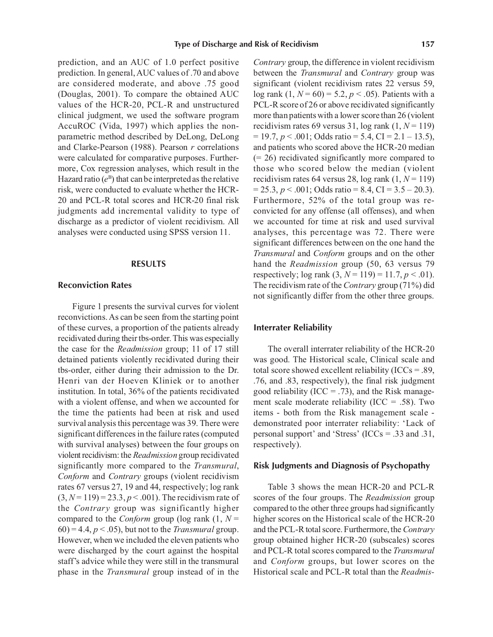prediction, and an AUC of 1.0 perfect positive prediction. In general, AUC values of .70 and above are considered moderate, and above .75 good (Douglas, 2001). To compare the obtained AUC values of the HCR-20, PCL-R and unstructured clinical judgment, we used the software program AccuROC (Vida, 1997) which applies the nonparametric method described by DeLong, DeLong and Clarke-Pearson (1988). Pearson *r* correlations were calculated for comparative purposes. Furthermore, Cox regression analyses, which result in the Hazard ratio  $(e^B)$  that can be interpreted as the relative risk, were conducted to evaluate whether the HCR-20 and PCL-R total scores and HCR-20 final risk judgments add incremental validity to type of discharge as a predictor of violent recidivism. All analyses were conducted using SPSS version 11.

#### **RESULTS**

#### **Reconviction Rates**

Figure 1 presents the survival curves for violent reconvictions. As can be seen from the starting point of these curves, a proportion of the patients already recidivated during their tbs-order. This was especially the case for the *Readmission* group; 11 of 17 still detained patients violently recidivated during their tbs-order, either during their admission to the Dr. Henri van der Hoeven Kliniek or to another institution. In total, 36% of the patients recidivated with a violent offense, and when we accounted for the time the patients had been at risk and used survival analysis this percentage was 39. There were significant differences in the failure rates (computed with survival analyses) between the four groups on violent recidivism: the *Readmission* group recidivated significantly more compared to the *Transmural*, *Conform* and *Contrary* groups (violent recidivism rates 67 versus 27, 19 and 44, respectively; log rank  $(3, N = 119) = 23.3, p < .001$ . The recidivism rate of the *Contrary* group was significantly higher compared to the *Conform* group (log rank (1, *N* =  $(60) = 4.4, p < .05$ , but not to the *Transmural* group. However, when we included the eleven patients who were discharged by the court against the hospital staff's advice while they were still in the transmural phase in the *Transmural* group instead of in the

*Contrary* group, the difference in violent recidivism between the *Transmural* and *Contrary* group was significant (violent recidivism rates 22 versus 59, log rank (1, *N* = 60) = 5.2, *p* < .05). Patients with a PCL-R score of 26 or above recidivated significantly more than patients with a lower score than 26 (violent recidivism rates 69 versus 31,  $log$  rank  $(1, N = 119)$  $= 19.7, p < .001$ ; Odds ratio  $= 5.4$ , CI  $= 2.1 - 13.5$ ), and patients who scored above the HCR-20 median (= 26) recidivated significantly more compared to those who scored below the median (violent recidivism rates 64 versus 28,  $log$  rank  $(1, N = 119)$  $= 25.3, p < .001$ ; Odds ratio  $= 8.4, CI = 3.5 - 20.3$ ). Furthermore, 52% of the total group was reconvicted for any offense (all offenses), and when we accounted for time at risk and used survival analyses, this percentage was 72. There were significant differences between on the one hand the *Transmural* and *Conform* groups and on the other hand the *Readmission* group (50, 63 versus 79 respectively; log rank  $(3, N = 119) = 11.7, p < .01$ ). The recidivism rate of the *Contrary* group (71%) did not significantly differ from the other three groups.

#### **Interrater Reliability**

The overall interrater reliability of the HCR-20 was good. The Historical scale, Clinical scale and total score showed excellent reliability (ICCs = .89, .76, and .83, respectively), the final risk judgment good reliability (ICC = .73), and the Risk management scale moderate reliability (ICC = .58). Two items - both from the Risk management scale demonstrated poor interrater reliability: 'Lack of personal support' and 'Stress' (ICCs = .33 and .31, respectively).

#### **Risk Judgments and Diagnosis of Psychopathy**

Table 3 shows the mean HCR-20 and PCL-R scores of the four groups. The *Readmission* group compared to the other three groups had significantly higher scores on the Historical scale of the HCR-20 and the PCL-R total score. Furthermore, the *Contrary* group obtained higher HCR-20 (subscales) scores and PCL-R total scores compared to the *Transmural* and *Conform* groups, but lower scores on the Historical scale and PCL-R total than the *Readmis-*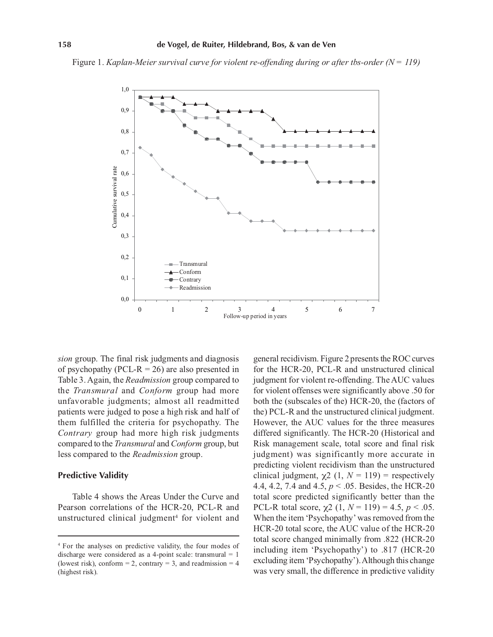Figure 1. *Kaplan-Meier survival curve for violent re-offending during or after tbs-order (N = 119)*



*sion* group. The final risk judgments and diagnosis of psychopathy (PCL-R = 26) are also presented in Table 3. Again, the *Readmission* group compared to the *Transmural* and *Conform* group had more unfavorable judgments; almost all readmitted patients were judged to pose a high risk and half of them fulfilled the criteria for psychopathy. The *Contrary* group had more high risk judgments compared to the *Transmural* and *Conform* group, but less compared to the *Readmission* group.

## **Predictive Validity**

Table 4 shows the Areas Under the Curve and Pearson correlations of the HCR-20, PCL-R and unstructured clinical judgment $4$  for violent and general recidivism. Figure 2 presents the ROC curves for the HCR-20, PCL-R and unstructured clinical judgment for violent re-offending. The AUC values for violent offenses were significantly above .50 for both the (subscales of the) HCR-20, the (factors of the) PCL-R and the unstructured clinical judgment. However, the AUC values for the three measures differed significantly. The HCR-20 (Historical and Risk management scale, total score and final risk judgment) was significantly more accurate in predicting violent recidivism than the unstructured clinical judgment,  $\chi$ 2 (1, *N* = 119) = respectively 4.4, 4.2, 7.4 and 4.5, *p* < .05. Besides, the HCR-20 total score predicted significantly better than the PCL-R total score,  $\chi^2$  (1,  $N = 119$ ) = 4.5,  $p < .05$ . When the item 'Psychopathy' was removed from the HCR-20 total score, the AUC value of the HCR-20 total score changed minimally from .822 (HCR-20 including item 'Psychopathy') to .817 (HCR-20 excluding item 'Psychopathy'). Although this change was very small, the difference in predictive validity

<sup>4</sup> For the analyses on predictive validity, the four modes of discharge were considered as a 4-point scale: transmural  $= 1$ (lowest risk), conform  $= 2$ , contrary  $= 3$ , and readmission  $= 4$ (highest risk).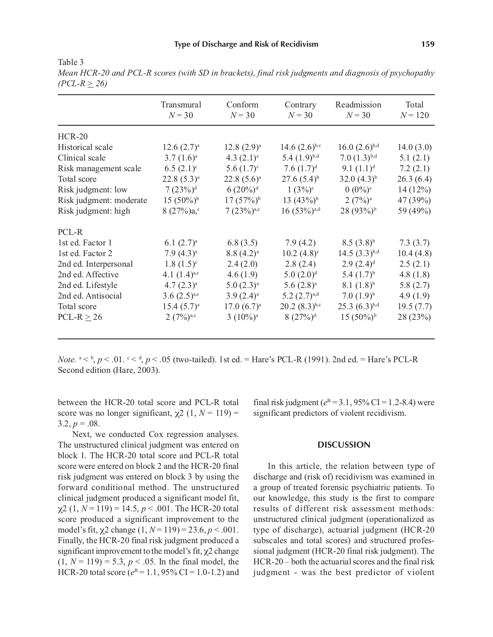Table 3

|                         | Transmural<br>$N = 30$ | Conform<br>$N = 30$     | Contrary<br>$N = 30$      | Readmission<br>$N = 30$ | Total<br>$N = 120$ |
|-------------------------|------------------------|-------------------------|---------------------------|-------------------------|--------------------|
| <b>HCR-20</b>           |                        |                         |                           |                         |                    |
| Historical scale        | $12.6 (2.7)^a$         | $12.8 (2.9)^a$          | 14.6 $(2.6)^{b,c}$        | $16.0 (2.6)^{b,d}$      | 14.0(3.0)          |
| Clinical scale          | $3.7(1.6)^a$           | 4.3 $(2.1)^c$           | $5.4 (1.9)^{b,d}$         | $7.0(1.3)^{b,d}$        | 5.1(2.1)           |
| Risk management scale   | $6.5 (2.1)^c$          | $5.6(1.7)^c$            | 7.6 $(1.7)^d$             | 9.1 $(1.1)^d$           | 7.2(2.1)           |
| Total score             | $22.8(5.3)^a$          | $22.8(5.6)^a$           | $27.6(5.4)^{b}$           | $32.0(4.3)^{b}$         | 26.3(6.4)          |
| Risk judgment: low      | $7(23%)^{\rm d}$       | $6(20\%)^{\rm d}$       | $1(3\%)^c$                | $0 (0\%)^c$             | 14(12%)            |
| Risk judgment: moderate | $15(50\%)^b$           | $17(57%)^b$             | 13 $(43%)^b$              | $2 (7%)^a$              | 47 (39%)           |
| Risk judgment: high     | $8(27%)a$ ,            | $7(23%)$ <sub>a,c</sub> | $16(53\%)$ <sup>a,d</sup> | $28(93%)^b$             | 59 (49%)           |
| PCL-R                   |                        |                         |                           |                         |                    |
| 1st ed. Factor 1        | 6.1 $(2.7)^a$          | 6.8(3.5)                | 7.9(4.2)                  | $8.5(3.8)^{b}$          | 7.3(3.7)           |
| 1st ed. Factor 2        | $7.9(4.3)^{a}$         | $8.8 (4.2)^a$           | $10.2 (4.8)^c$            | $14.5 (3.3)^{b,d}$      | 10.4(4.8)          |
| 2nd ed. Interpersonal   | $1.8(1.5)^c$           | 2.4(2.0)                | 2.8(2.4)                  | 2.9(2.4) <sup>d</sup>   | 2.5(2.1)           |
| 2nd ed. Affective       | 4.1 $(1.4)^{a,c}$      | 4.6(1.9)                | 5.0(2.0) <sup>d</sup>     | $5.4 (1.7)^{b}$         | 4.8(1.8)           |
| 2nd ed. Lifestyle       | $4.7(2.3)^{a}$         | $5.0(2.3)^{a}$          | $5.6(2.8)^{a}$            | 8.1 $(1.8)^{b}$         | 5.8(2.7)           |
| 2nd ed. Antisocial      | $3.6(2.5)^{a,c}$       | $3.9(2.4)^a$            | $5.2 (2.7)^{a,d}$         | $7.0(1.9)^{b}$          | 4.9(1.9)           |
| Total score             | $15.4 (5.7)^a$         | $17.0 (6.7)^a$          | $20.2 (8.3)^{b,c}$        | $25.3(6.3)^{b,d}$       | 19.5(7.7)          |
| PCL-R $\geq$ 26         | $2 (7%)^{a,c}$         | $3(10\%)^a$             | $8(27%)$ <sup>d</sup>     | $15(50\%)^b$            | 28(23%)            |

*Mean HCR-20 and PCL-R scores (with SD in brackets), final risk judgments and diagnosis of psychopathy*  $(PCL-R \ge 26)$ 

*Note.*  $a < b$ ,  $p < .01$ .  $c < d$ ,  $p < .05$  (two-tailed). 1st ed. = Hare's PCL-R (1991). 2nd ed. = Hare's PCL-R Second edition (Hare, 2003).

between the HCR-20 total score and PCL-R total score was no longer significant,  $\chi$ 2 (1, *N* = 119) =  $3.2, p = .08$ .

Next, we conducted Cox regression analyses. The unstructured clinical judgment was entered on block 1. The HCR-20 total score and PCL-R total score were entered on block 2 and the HCR-20 final risk judgment was entered on block 3 by using the forward conditional method. The unstructured clinical judgment produced a significant model fit,  $\chi$ 2 (1, *N* = 119) = 14.5, *p* < .001. The HCR-20 total score produced a significant improvement to the model's fit, χ2 change (1, *N* = 119) = 23.6, *p* < .001. Finally, the HCR-20 final risk judgment produced a significant improvement to the model's fit,  $\chi$ 2 change  $(1, N = 119) = 5.3, p < .05$ . In the final model, the HCR-20 total score ( $e^B = 1.1$ , 95% CI = 1.0-1.2) and

final risk judgment ( $e^B = 3.1$ , 95% CI = 1.2-8.4) were significant predictors of violent recidivism.

#### **DISCUSSION**

In this article, the relation between type of discharge and (risk of) recidivism was examined in a group of treated forensic psychiatric patients. To our knowledge, this study is the first to compare results of different risk assessment methods: unstructured clinical judgment (operationalized as type of discharge), actuarial judgment (HCR-20 subscales and total scores) and structured professional judgment (HCR-20 final risk judgment). The HCR-20 – both the actuarial scores and the final risk judgment - was the best predictor of violent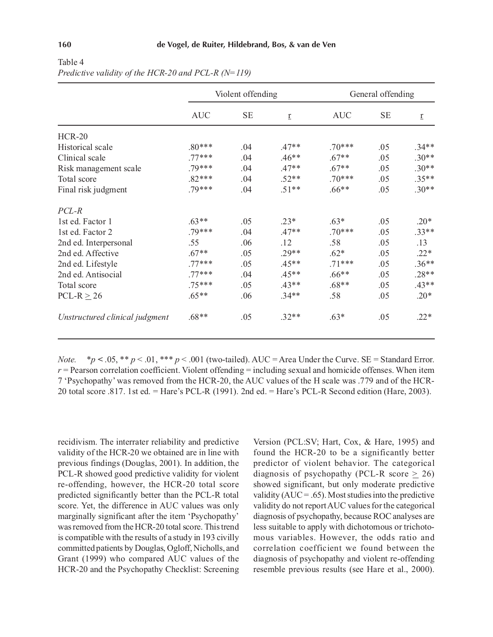|                                | Violent offending |           |                 | General offending |           |                             |
|--------------------------------|-------------------|-----------|-----------------|-------------------|-----------|-----------------------------|
|                                | <b>AUC</b>        | <b>SE</b> | $\underline{r}$ | <b>AUC</b>        | <b>SE</b> | $\underline{\underline{r}}$ |
| $HCR-20$                       |                   |           |                 |                   |           |                             |
| Historical scale               | $.80***$          | .04       | $.47**$         | $.70***$          | .05       | $.34**$                     |
| Clinical scale                 | $.77***$          | .04       | $.46**$         | $.67**$           | .05       | $.30**$                     |
| Risk management scale          | $.79***$          | .04       | $.47**$         | $.67**$           | .05       | $.30**$                     |
| Total score                    | $.82***$          | .04       | $.52**$         | $.70***$          | .05       | $.35**$                     |
| Final risk judgment            | $.79***$          | .04       | $.51**$         | $.66**$           | .05       | $.30**$                     |
| $PCL-R$                        |                   |           |                 |                   |           |                             |
| 1st ed. Factor 1               | $.63**$           | .05       | $.23*$          | $.63*$            | .05       | $.20*$                      |
| 1st ed. Factor 2               | $.79***$          | .04       | $.47**$         | $.70***$          | .05       | $.33**$                     |
| 2nd ed. Interpersonal          | .55               | .06       | .12             | .58               | .05       | .13                         |
| 2nd ed. Affective              | $.67**$           | .05       | $.29**$         | $.62*$            | .05       | $.22*$                      |
| 2nd ed. Lifestyle              | $.77***$          | .05       | $.45**$         | $.71***$          | .05       | $.36**$                     |
| 2nd ed. Antisocial             | $.77***$          | .04       | $.45**$         | $.66**$           | .05       | $.28**$                     |
| Total score                    | $.75***$          | .05       | $.43**$         | $.68**$           | .05       | $.43**$                     |
| PCL-R $\geq$ 26                | $.65**$           | .06       | $.34**$         | .58               | .05       | $.20*$                      |
| Unstructured clinical judgment | $.68**$           | .05       | $.32**$         | $.63*$            | .05       | $.22*$                      |

Table 4 *Predictive validity of the HCR-20 and PCL-R (N=119)*

*Note.*  $* p < .05, ** p < .01, *** p < .001$  (two-tailed). AUC = Area Under the Curve. SE = Standard Error.  $r =$  Pearson correlation coefficient. Violent offending  $=$  including sexual and homicide offenses. When item 7 'Psychopathy' was removed from the HCR-20, the AUC values of the H scale was .779 and of the HCR-20 total score .817. 1st ed. = Hare's PCL-R (1991). 2nd ed. = Hare's PCL-R Second edition (Hare, 2003).

recidivism. The interrater reliability and predictive validity of the HCR-20 we obtained are in line with previous findings (Douglas, 2001). In addition, the PCL-R showed good predictive validity for violent re-offending, however, the HCR-20 total score predicted significantly better than the PCL-R total score. Yet, the difference in AUC values was only marginally significant after the item 'Psychopathy' was removed from the HCR-20 total score. This trend is compatible with the results of a study in 193 civilly committed patients by Douglas, Ogloff, Nicholls, and Grant (1999) who compared AUC values of the HCR-20 and the Psychopathy Checklist: Screening

Version (PCL:SV; Hart, Cox, & Hare, 1995) and found the HCR-20 to be a significantly better predictor of violent behavior. The categorical diagnosis of psychopathy (PCL-R score  $\geq$  26) showed significant, but only moderate predictive validity ( $AUC = .65$ ). Most studies into the predictive validity do not report AUC values for the categorical diagnosis of psychopathy, because ROC analyses are less suitable to apply with dichotomous or trichotomous variables. However, the odds ratio and correlation coefficient we found between the diagnosis of psychopathy and violent re-offending resemble previous results (see Hare et al., 2000).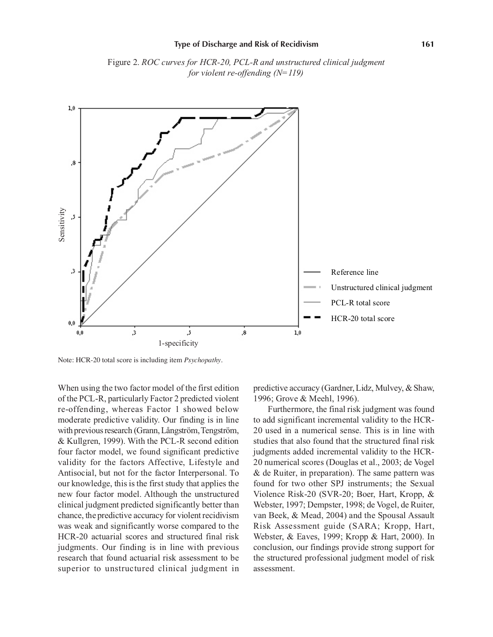

Figure 2. *ROC curves for HCR-20, PCL-R and unstructured clinical judgment for violent re-offending (N=119)*

Note: HCR-20 total score is including item *Psychopathy*.

When using the two factor model of the first edition of the PCL-R, particularly Factor 2 predicted violent re-offending, whereas Factor 1 showed below moderate predictive validity. Our finding is in line with previous research (Grann, Långström, Tengström, & Kullgren, 1999). With the PCL-R second edition four factor model, we found significant predictive validity for the factors Affective, Lifestyle and Antisocial, but not for the factor Interpersonal. To our knowledge, this is the first study that applies the new four factor model. Although the unstructured clinical judgment predicted significantly better than chance, the predictive accuracy for violent recidivism was weak and significantly worse compared to the HCR-20 actuarial scores and structured final risk judgments. Our finding is in line with previous research that found actuarial risk assessment to be superior to unstructured clinical judgment in predictive accuracy (Gardner, Lidz, Mulvey, & Shaw, 1996; Grove & Meehl, 1996).

Furthermore, the final risk judgment was found to add significant incremental validity to the HCR-20 used in a numerical sense. This is in line with studies that also found that the structured final risk judgments added incremental validity to the HCR-20 numerical scores (Douglas et al., 2003; de Vogel & de Ruiter, in preparation). The same pattern was found for two other SPJ instruments; the Sexual Violence Risk-20 (SVR-20; Boer, Hart, Kropp, & Webster, 1997; Dempster, 1998; de Vogel, de Ruiter, van Beek, & Mead, 2004) and the Spousal Assault Risk Assessment guide (SARA; Kropp, Hart, Webster, & Eaves, 1999; Kropp & Hart, 2000). In conclusion, our findings provide strong support for the structured professional judgment model of risk assessment.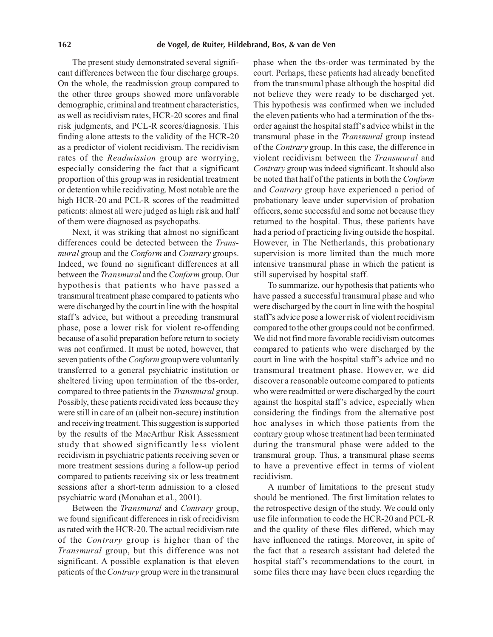The present study demonstrated several significant differences between the four discharge groups. On the whole, the readmission group compared to the other three groups showed more unfavorable demographic, criminal and treatment characteristics, as well as recidivism rates, HCR-20 scores and final risk judgments, and PCL-R scores/diagnosis. This finding alone attests to the validity of the HCR-20 as a predictor of violent recidivism. The recidivism rates of the *Readmission* group are worrying, especially considering the fact that a significant proportion of this group was in residential treatment or detention while recidivating. Most notable are the high HCR-20 and PCL-R scores of the readmitted patients: almost all were judged as high risk and half of them were diagnosed as psychopaths.

Next, it was striking that almost no significant differences could be detected between the *Transmural* group and the *Conform* and *Contrary* groups. Indeed, we found no significant differences at all between the *Transmural* and the *Conform* group. Our hypothesis that patients who have passed a transmural treatment phase compared to patients who were discharged by the court in line with the hospital staff's advice, but without a preceding transmural phase, pose a lower risk for violent re-offending because of a solid preparation before return to society was not confirmed. It must be noted, however, that seven patients of the *Conform* group were voluntarily transferred to a general psychiatric institution or sheltered living upon termination of the tbs-order, compared to three patients in the *Transmural* group. Possibly, these patients recidivated less because they were still in care of an (albeit non-secure) institution and receiving treatment. This suggestion is supported by the results of the MacArthur Risk Assessment study that showed significantly less violent recidivism in psychiatric patients receiving seven or more treatment sessions during a follow-up period compared to patients receiving six or less treatment sessions after a short-term admission to a closed psychiatric ward (Monahan et al., 2001).

Between the *Transmural* and *Contrary* group, we found significant differences in risk of recidivism as rated with the HCR-20. The actual recidivism rate of the *Contrary* group is higher than of the *Transmural* group, but this difference was not significant. A possible explanation is that eleven patients of the *Contrary* group were in the transmural phase when the tbs-order was terminated by the court. Perhaps, these patients had already benefited from the transmural phase although the hospital did not believe they were ready to be discharged yet. This hypothesis was confirmed when we included the eleven patients who had a termination of the tbsorder against the hospital staff's advice whilst in the transmural phase in the *Transmural* group instead of the *Contrary* group. In this case, the difference in violent recidivism between the *Transmural* and *Contrary* group was indeed significant. It should also be noted that half of the patients in both the *Conform* and *Contrary* group have experienced a period of probationary leave under supervision of probation officers, some successful and some not because they returned to the hospital. Thus, these patients have had a period of practicing living outside the hospital. However, in The Netherlands, this probationary supervision is more limited than the much more intensive transmural phase in which the patient is still supervised by hospital staff.

To summarize, our hypothesis that patients who have passed a successful transmural phase and who were discharged by the court in line with the hospital staff's advice pose a lower risk of violent recidivism compared to the other groups could not be confirmed. We did not find more favorable recidivism outcomes compared to patients who were discharged by the court in line with the hospital staff's advice and no transmural treatment phase. However, we did discover a reasonable outcome compared to patients who were readmitted or were discharged by the court against the hospital staff's advice, especially when considering the findings from the alternative post hoc analyses in which those patients from the contrary group whose treatment had been terminated during the transmural phase were added to the transmural group. Thus, a transmural phase seems to have a preventive effect in terms of violent recidivism.

A number of limitations to the present study should be mentioned. The first limitation relates to the retrospective design of the study. We could only use file information to code the HCR-20 and PCL-R and the quality of these files differed, which may have influenced the ratings. Moreover, in spite of the fact that a research assistant had deleted the hospital staff's recommendations to the court, in some files there may have been clues regarding the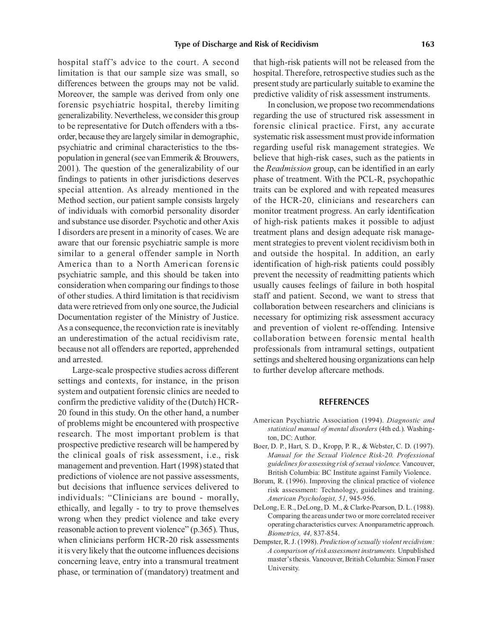hospital staff's advice to the court. A second limitation is that our sample size was small, so differences between the groups may not be valid. Moreover, the sample was derived from only one forensic psychiatric hospital, thereby limiting generalizability. Nevertheless, we consider this group to be representative for Dutch offenders with a tbsorder, because they are largely similar in demographic, psychiatric and criminal characteristics to the tbspopulation in general (see van Emmerik & Brouwers, 2001). The question of the generalizability of our findings to patients in other jurisdictions deserves special attention. As already mentioned in the Method section, our patient sample consists largely of individuals with comorbid personality disorder and substance use disorder. Psychotic and other Axis I disorders are present in a minority of cases. We are aware that our forensic psychiatric sample is more similar to a general offender sample in North America than to a North American forensic psychiatric sample, and this should be taken into consideration when comparing our findings to those of other studies. A third limitation is that recidivism data were retrieved from only one source, the Judicial Documentation register of the Ministry of Justice. As a consequence, the reconviction rate is inevitably an underestimation of the actual recidivism rate, because not all offenders are reported, apprehended and arrested.

Large-scale prospective studies across different settings and contexts, for instance, in the prison system and outpatient forensic clinics are needed to confirm the predictive validity of the (Dutch) HCR-20 found in this study. On the other hand, a number of problems might be encountered with prospective research. The most important problem is that prospective predictive research will be hampered by the clinical goals of risk assessment, i.e., risk management and prevention. Hart (1998) stated that predictions of violence are not passive assessments, but decisions that influence services delivered to individuals: "Clinicians are bound - morally, ethically, and legally - to try to prove themselves wrong when they predict violence and take every reasonable action to prevent violence" (p.365). Thus, when clinicians perform HCR-20 risk assessments it is very likely that the outcome influences decisions concerning leave, entry into a transmural treatment phase, or termination of (mandatory) treatment and

that high-risk patients will not be released from the hospital. Therefore, retrospective studies such as the present study are particularly suitable to examine the predictive validity of risk assessment instruments.

In conclusion, we propose two recommendations regarding the use of structured risk assessment in forensic clinical practice. First, any accurate systematic risk assessment must provide information regarding useful risk management strategies. We believe that high-risk cases, such as the patients in the *Readmission* group, can be identified in an early phase of treatment. With the PCL-R, psychopathic traits can be explored and with repeated measures of the HCR-20, clinicians and researchers can monitor treatment progress. An early identification of high-risk patients makes it possible to adjust treatment plans and design adequate risk management strategies to prevent violent recidivism both in and outside the hospital. In addition, an early identification of high-risk patients could possibly prevent the necessity of readmitting patients which usually causes feelings of failure in both hospital staff and patient. Second, we want to stress that collaboration between researchers and clinicians is necessary for optimizing risk assessment accuracy and prevention of violent re-offending. Intensive collaboration between forensic mental health professionals from intramural settings, outpatient settings and sheltered housing organizations can help to further develop aftercare methods.

#### **REFERENCES**

- American Psychiatric Association (1994). *Diagnostic and statistical manual of mental disorders* (4th ed.). Washington, DC: Author.
- Boer, D. P., Hart, S. D., Kropp, P. R., & Webster, C. D. (1997). *Manual for the Sexual Violence Risk-20. Professional guidelines for assessing risk of sexual violence.* Vancouver, British Columbia: BC Institute against Family Violence.
- Borum, R. (1996). Improving the clinical practice of violence risk assessment: Technology, guidelines and training. *American Psychologist, 51*, 945-956.
- DeLong, E. R., DeLong, D. M., & Clarke-Pearson, D. L. (1988). Comparing the areas under two or more correlated receiver operating characteristics curves: A nonparametric approach. *Biometrics, 44,* 837-854.
- Dempster, R. J. (1998). *Prediction of sexually violent recidivism: A comparison of risk assessment instruments.* Unpublished master's thesis. Vancouver, British Columbia: Simon Fraser University.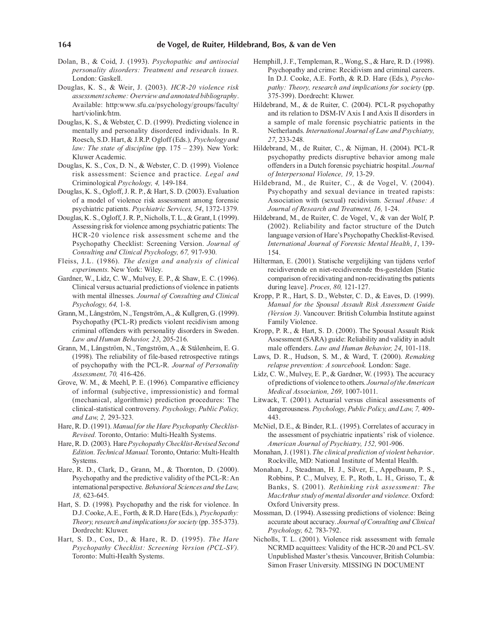- Dolan, B., & Coid, J. (1993). *Psychopathic and antisocial personality disorders: Treatment and research issues.* London: Gaskell.
- Douglas, K. S., & Weir, J. (2003). *HCR-20 violence risk assessment scheme: Overview and annotated bibliography*. Available: http:www.sfu.ca/psychology/groups/faculty/ hart/violink/htm.
- Douglas, K. S., & Webster, C. D. (1999). Predicting violence in mentally and personality disordered individuals. In R. Roesch, S.D. Hart, & J.R.P. Ogloff (Eds.)*, Psychology and law: The state of discipline* (pp. 175 – 239). New York: Kluwer Academic.
- Douglas, K. S., Cox, D. N., & Webster, C. D. (1999). Violence risk assessment: Science and practice. *Legal and* Criminological *Psychology, 4,* 149-184.
- Douglas, K. S., Ogloff, J. R. P., & Hart, S. D. (2003). Evaluation of a model of violence risk assessment among forensic psychiatric patients. *Psychiatric Services, 54*, 1372-1379.
- Douglas, K. S., Ogloff, J. R. P., Nicholls, T. L., & Grant, I. (1999). Assessing risk for violence among psychiatric patients: The HCR-20 violence risk assessment scheme and the Psychopathy Checklist: Screening Version. *Journal of Consulting and Clinical Psychology, 67,* 917-930*.*
- Fleiss, J.L. (1986). *The design and analysis of clinical experiments*. New York: Wiley.
- Gardner, W., Lidz, C. W., Mulvey, E. P., & Shaw, E. C. (1996). Clinical versus actuarial predictions of violence in patients with mental illnesses. *Journal of Consulting and Clinical Psychology, 64,* 1-8.
- Grann, M., Långström, N., Tengström, A., & Kullgren, G. (1999). Psychopathy (PCL-R) predicts violent recidivism among criminal offenders with personality disorders in Sweden. *Law and Human Behavior, 23*, 205-216.
- Grann, M., Långström, N., Tengström, A., & Stålenheim, E. G. (1998). The reliability of file-based retrospective ratings of psychopathy with the PCL-R. *Journal of Personality Assessment, 70,* 416-426.
- Grove, W. M., & Meehl, P. E. (1996). Comparative efficiency of informal (subjective, impressionistic) and formal (mechanical, algorithmic) prediction procedures: The clinical-statistical controversy. *Psychology, Public Policy, and Law, 2,* 293-323.
- Hare, R. D. (1991). *Manual for the Hare Psychopathy Checklist-Revised.* Toronto, Ontario: Multi-Health Systems.
- Hare, R. D. (2003). Hare *Psychopathy Checklist-Revised Second Edition. Technical Manual.* Toronto, Ontario: Multi-Health Systems.
- Hare, R. D., Clark, D., Grann, M., & Thornton, D. (2000). Psychopathy and the predictive validity of the PCL-R: An international perspective. *Behavioral Sciences and the Law, 18,* 623-645.
- Hart, S. D. (1998). Psychopathy and the risk for violence. In D.J. Cooke, A.E., Forth, & R.D. Hare (Eds.), *Psychopathy: Theory, research and implications for society* (pp. 355-373). Dordrecht: Kluwer.
- Hart, S. D., Cox, D., & Hare, R. D. (1995). *The Hare Psychopathy Checklist: Screening Version (PCL-SV).* Toronto: Multi-Health Systems.
- Hemphill, J. F., Templeman, R., Wong, S., & Hare, R. D. (1998). Psychopathy and crime: Recidivism and criminal careers. In D.J. Cooke, A.E. Forth, & R.D. Hare (Eds.), *Psychopathy: Theory, research and implications for society* (pp. 375-399). Dordrecht: Kluwer.
- Hildebrand, M., & de Ruiter, C. (2004). PCL-R psychopathy and its relation to DSM-IV Axis I and Axis II disorders in a sample of male forensic psychiatric patients in the Netherlands. *International Journal of Law and Psychiatry, 27*, 233-248*.*
- Hildebrand, M., de Ruiter, C., & Nijman, H. (2004). PCL-R psychopathy predicts disruptive behavior among male offenders in a Dutch forensic psychiatric hospital. *Journal of Interpersonal Violence, 19,* 13-29.
- Hildebrand, M., de Ruiter, C., & de Vogel, V. (2004). Psychopathy and sexual deviance in treated rapists: Association with (sexual) recidivism. *Sexual Abuse: A Journal of Research and Treatment, 16,* 1-24.
- Hildebrand, M., de Ruiter, C. de Vogel, V., & van der Wolf, P. (2002). Reliability and factor structure of the Dutch language version of Hare's Psychopathy Checklist-Revised. *International Journal of Forensic Mental Health*, *1*, 139- 154.
- Hilterman, E. (2001). Statische vergelijking van tijdens verlof recidiverende en niet-recidiverende tbs-gestelden [Static comparison of recidivating and non-recidivating tbs patients during leave]. *Proces, 80,* 121-127.
- Kropp, P. R., Hart, S. D., Webster, C. D., & Eaves, D. (1999). *Manual for the Spousal Assault Risk Assessment Guide (Version 3)*. Vancouver: British Columbia Institute against Family Violence.
- Kropp, P. R., & Hart, S. D. (2000). The Spousal Assault Risk Assessment (SARA) guide: Reliability and validity in adult male offenders. *Law and Human Behavior, 24*, 101-118.
- Laws, D. R., Hudson, S. M., & Ward, T. (2000). *Remaking relapse prevention: A sourcebook.* London: Sage.
- Lidz, C. W., Mulvey, E. P., & Gardner, W. (1993). The accuracy of predictions of violence to others. *Journal of the American Medical Association, 269,* 1007-1011.
- Litwack, T. (2001). Actuarial versus clinical assessments of dangerousness*. Psychology, Public Policy, and Law, 7,* 409- 443.
- McNiel, D.E., & Binder, R.L. (1995). Correlates of accuracy in the assessment of psychiatric inpatients' risk of violence. *American Journal of Psychiatry, 152,* 901-906.
- Monahan, J. (1981). *The clinical prediction of violent behavior*. Rockville, MD: National Institute of Mental Health.
- Monahan, J., Steadman, H. J., Silver, E., Appelbaum, P. S., Robbins, P. C., Mulvey, E. P., Roth, L. H., Grisso, T., & Banks, S. (2001). *Rethinking risk assessment: The MacArthur study of mental disorder and violence.* Oxford: Oxford University press.
- Mossman, D. (1994). Assessing predictions of violence: Being accurate about accuracy. *Journal of Consulting and Clinical Psychology, 62,* 783-792.
- Nicholls, T. L. (2001). Violence risk assessment with female NCRMD acquittees: Validity of the HCR-20 and PCL-SV. Unpublished Master's thesis. Vancouver, British Columbia: Simon Fraser University. MISSING IN DOCUMENT